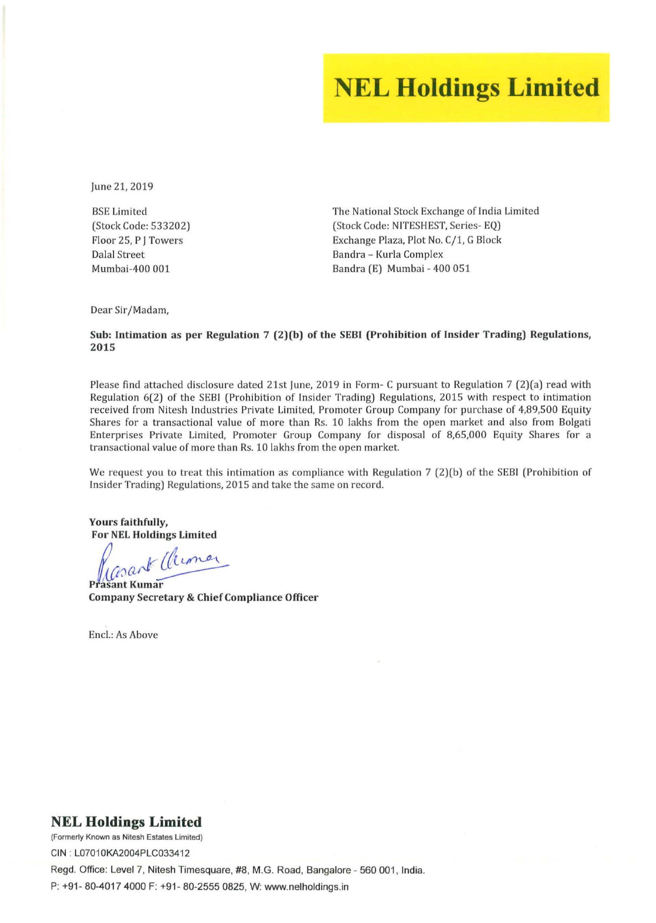# **NEL Holdings Limited**

lune 21, 2019

BSE Limited (Stock Code: 533202) Floor 25, P J Towers Dalal Street Mumbai-400 001

The National Stock Exchange of India Limited (Stock Code: NITESHEST, Series- EQ) Exchange Plaza, Plot No. C/1, G Block Bandra - Kurla Complex Bandra (E) Mumbai - 400 051

Dear Sir/Madam,

#### Sub: Intimation as per Regulation 7 (2)(b) of the SEBI (Prohibition of Insider Trading) Regulations, 2015

Please find attached disclosure dated 21st lune, 2019 in Form- C pursuant to Regulation 7 (2)(a) read with Regulation 6(2) of the SEBI (Prohibition of Insider Trading) Regulations, 2015 with respect to intimation received from Nitesh Industries Private Limited, Promoter Group Company for purchase of 4,89,500 Equity Shares for a transactional value of more than Rs. 10 lakhs from the open market and also from Bolgati Enterprises Private Limited, Promoter Group Company for disposal of 8,65,000 Equity Shares for a **tra nsactional valu e** of more **than Rs. 10 lakhs from the open market.** 

We request you to treat this intimation as compliance with Regulation 7 (2)(b) of the SEBI (Prohibition of Insider Trading) Regulations, 2015 and take the same on record.

Yours faithfully, For NEL Holdings Limited

Prasant Cleman

**P asant Kumar**  Company Secretary & Chief Compliance Officer

Encl.: As Above

#### **NEL Holdings Limited**

**(Formerly Known as Nitesh Estates Limited)**  CIN : L07010KA2004PLC033412 Regd. Office: Level 7, Nitesh Timesquare, #8, M.G. Road, Bangalore - 560 001, India. P: +91- 80-4017 4000 F: +91 - 80-2555 0825, W: www.nelholdings.in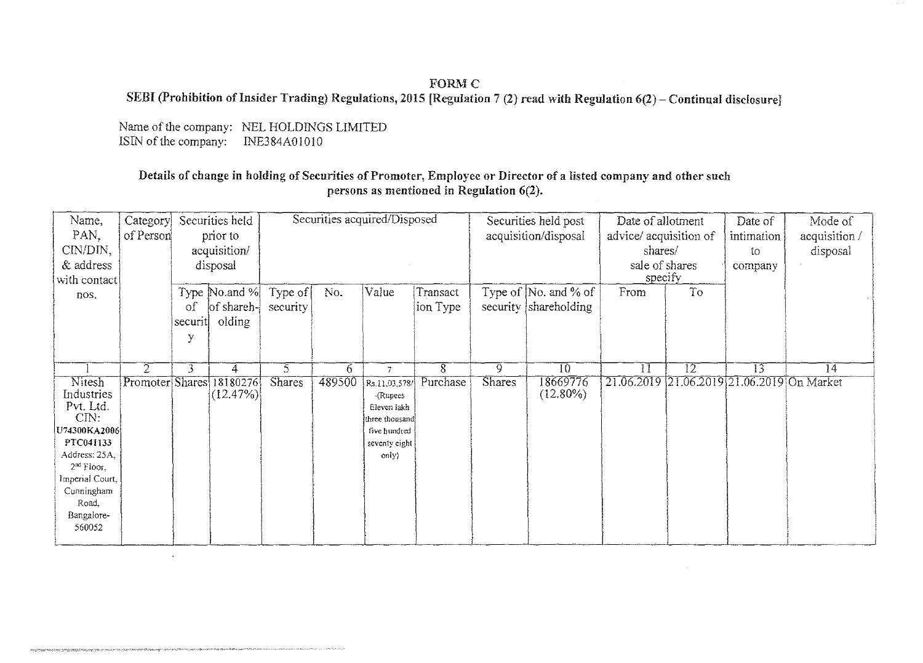## **FORM C** SEBI (Prohibition of Insider Trading) Regulations, 2015 [Regulation 7 (2) read with Regulation 6(2) - Continual disclosure]

Name of the company: NEL HOLDINGS LIMITED ISIN of the company: INE384A01010

 $\mathcal{L}$ 

talente de la constitución de la constitución de la constitución de la constitución de la constitución de la c

www.community.com

## Details of change in holding of Securities of Promoter, Employee or Director of a listed company and other such persons as mentioned in Regulation 6(2).

| Name,<br>PAN,<br>CIN/DIN,                                                                                                                                                   | Category<br>of Person |                    | Securities held<br>prior to<br>acquisition/ |                     |        | Securities acquired/Disposed                                                                         |                      |                | Securities held post<br>acquisition/disposal          | Date of allotment<br>advice/ acquisition of<br>shares/ |    | Date of<br>intimation<br>ίO | Mode of<br>acquisition /<br>disposal |
|-----------------------------------------------------------------------------------------------------------------------------------------------------------------------------|-----------------------|--------------------|---------------------------------------------|---------------------|--------|------------------------------------------------------------------------------------------------------|----------------------|----------------|-------------------------------------------------------|--------------------------------------------------------|----|-----------------------------|--------------------------------------|
| & address<br>with contact                                                                                                                                                   |                       |                    | disposal                                    |                     |        |                                                                                                      |                      |                |                                                       | sale of shares<br>specify                              |    | company                     |                                      |
| nos.                                                                                                                                                                        |                       | οf<br>securit<br>y | Type No.and %<br>of shareh-<br>olding       | Type of<br>security | No.    | Value                                                                                                | Transact<br>ion Type |                | Type of $\vert$ No. and % of<br>security shareholding | From                                                   | To |                             |                                      |
|                                                                                                                                                                             | $\overline{2}$        | 3                  | 4                                           | 5.                  | 6.     | $\overline{7}$                                                                                       | $\overline{8}$       | $\overline{9}$ | $\overline{10}$                                       | $\overline{1}\overline{1}$                             | 12 | $\overline{13}$             | $\overline{14}$                      |
| Nitesh<br>Industries<br>Pvt. Ltd.<br>CN:<br>U74300KA2006<br>PTC041133<br>Address: 25A.<br>$2^{nd}$ Floor,<br>Imperial Court,<br>Cunningham<br>Road.<br>Bangalore-<br>560052 | Promoter Shares       |                    | 18180276<br>$(12.47\%)$                     | <b>Shares</b>       | 489500 | Rs.11,03,578/<br>-(Rupees<br>Eleven lakh<br>three thousand<br>five hundred<br>seventy eight<br>only) | Purchase             | <b>Shares</b>  | 18669776<br>$(12.80\%)$                               | 21.06.2019 21.06.2019 21.06.2019 On Market             |    |                             |                                      |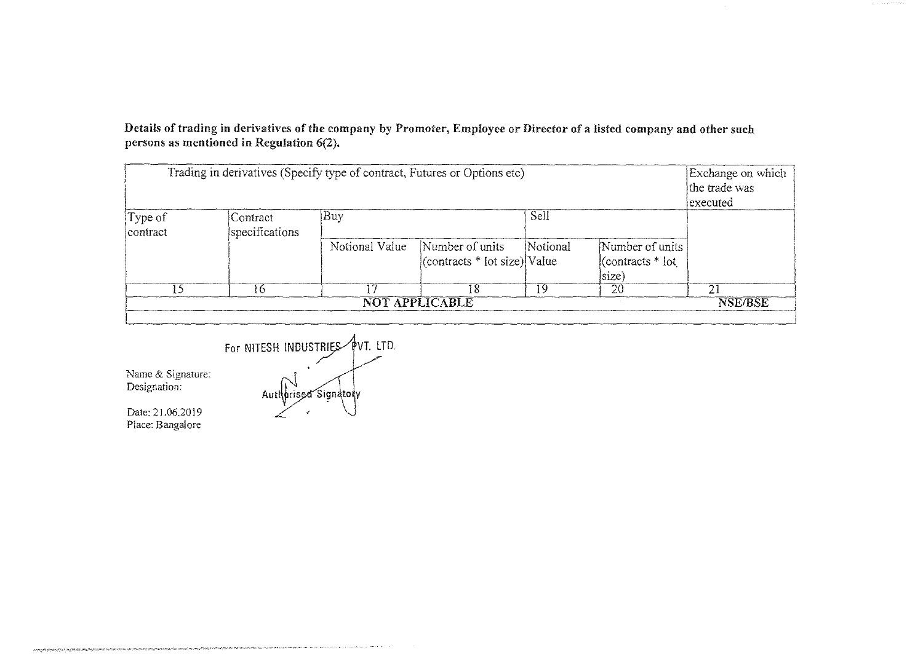Details of trading in derivatives of the company by Promoter, Employee or Director of a listed company and other snch persons as mentioned in Regulation 6(2}.

| Trading in derivatives (Specify type of contract, Futures or Options etc) | Exchange on which<br>the trade was<br> executed |                |                                                       |          |                                                    |                |
|---------------------------------------------------------------------------|-------------------------------------------------|----------------|-------------------------------------------------------|----------|----------------------------------------------------|----------------|
| Type of<br>contract                                                       | Contract<br>specifications                      | Buy            |                                                       | Sell     |                                                    |                |
|                                                                           |                                                 | Notional Value | Number of units<br>$ $ (contracts $*$ lot size) Value | Notional | Number of units<br>$ $ (contracts $*$ lot<br>size) |                |
| -5                                                                        |                                                 |                | 18                                                    | 19       | 20                                                 | 21             |
|                                                                           |                                                 |                | NOT APPLICABLE                                        |          |                                                    | <b>NSE/BSE</b> |



**Name & Signature:**  Designation:

Date: 21.06.2019 Place: Bangalore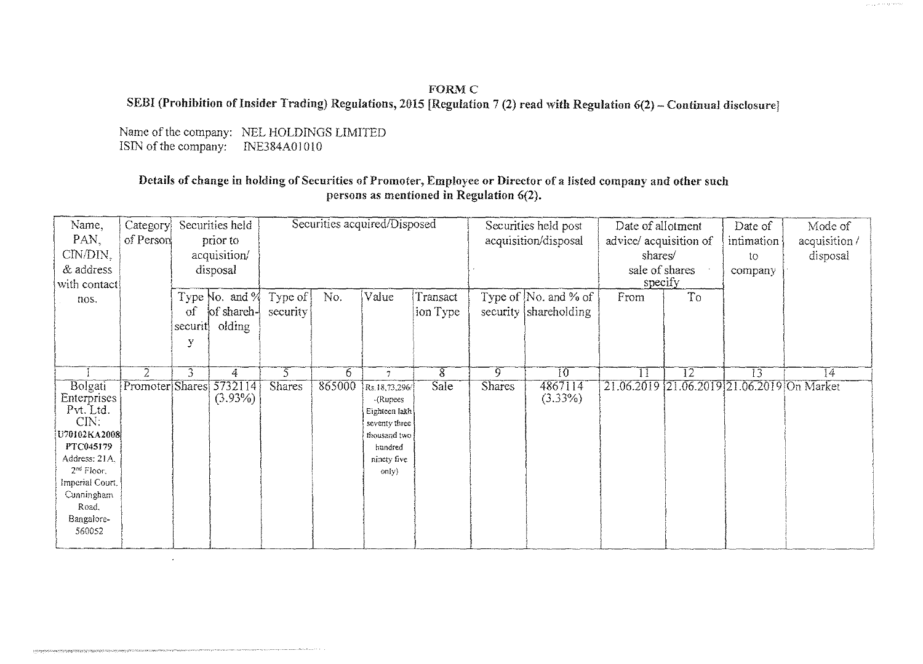## **FORM C** SEBI (Prohibition of Insider Trading) Regulations, 2015 [Regulation 7 (2) read with Regulation 6(2) - Continual disclosure]

Name of the company: NEL HOLDINGS LIMITED ISIN of the company: INE384A01010

 $\cdot$ 

the Concession of Schname and particular Communications are a proportional and the communication of the communication of the communication of the communication of the communication of the communication of the communication

## Details of change in holding of Securities of Promoter, Employee or Director of a listed company and other such persons as mentioned in Regulation 6(2).

| Name,<br>PAN.<br>CIN/DIN.                                                                                                                                                   | Category<br>of Person | Securities held<br>prior to<br>acquisition/ |                                        | Securities acquired/Disposed |        |                                                                                                                | Securities held post<br>acquisition/disposal |               | Date of allotment<br>advice/ acquisition of<br>shares/ |                           | Date of<br>intimation<br>to | Mode of<br>acquisition/<br>disposal        |                 |
|-----------------------------------------------------------------------------------------------------------------------------------------------------------------------------|-----------------------|---------------------------------------------|----------------------------------------|------------------------------|--------|----------------------------------------------------------------------------------------------------------------|----------------------------------------------|---------------|--------------------------------------------------------|---------------------------|-----------------------------|--------------------------------------------|-----------------|
| & address<br>with contact                                                                                                                                                   |                       |                                             | disposal                               |                              |        |                                                                                                                |                                              |               |                                                        | sale of shares<br>specify |                             | company                                    |                 |
| nos.                                                                                                                                                                        |                       | $\sigma$<br>securit<br>y                    | Type No. and %<br>of shareh-<br>olding | Type of<br>security          | No.    | Value                                                                                                          | Transact<br>ion Type                         |               | Type of $\sqrt{N_0}$ and % of<br>security shareholding | From                      | To                          |                                            |                 |
|                                                                                                                                                                             | 2                     | 3                                           | 4                                      | 5                            | 6.     | $\tilde{I}$                                                                                                    | 8                                            | 9             | $\overline{10}$                                        | $\prod$                   | T2                          | 13                                         | $\overline{14}$ |
| Bolgati<br>Enterprises<br>Pvt. Ltd.<br>CIN.<br>U70102KA2008<br>PTC045179<br>Address: 21A,<br>$2nd$ Floor,<br>Imperial Court.<br>Cunningham<br>Road,<br>Bangalore-<br>560052 | Promoter Shares       |                                             | 5732114<br>$(3.93\%)$                  | <b>Shares</b>                | 865000 | Rs.18,73,296/<br>-(Rupees<br>Eighteen lakh<br>seventy three<br>thousand two<br>hundred<br>ninety five<br>only) | Sale                                         | <b>Shares</b> | 4867114<br>$(3.33\%)$                                  |                           |                             | 21.06.2019 21.06.2019 21.06.2019 On Market |                 |